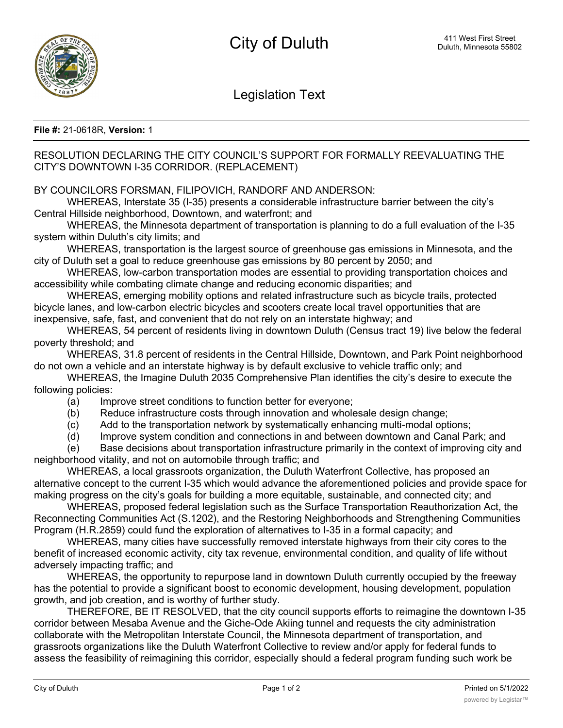Legislation Text

## **File #:** 21-0618R, **Version:** 1

## RESOLUTION DECLARING THE CITY COUNCIL'S SUPPORT FOR FORMALLY REEVALUATING THE CITY'S DOWNTOWN I-35 CORRIDOR. (REPLACEMENT)

## BY COUNCILORS FORSMAN, FILIPOVICH, RANDORF AND ANDERSON:

WHEREAS, Interstate 35 (I-35) presents a considerable infrastructure barrier between the city's Central Hillside neighborhood, Downtown, and waterfront; and

WHEREAS, the Minnesota department of transportation is planning to do a full evaluation of the I-35 system within Duluth's city limits; and

WHEREAS, transportation is the largest source of greenhouse gas emissions in Minnesota, and the city of Duluth set a goal to reduce greenhouse gas emissions by 80 percent by 2050; and

WHEREAS, low-carbon transportation modes are essential to providing transportation choices and accessibility while combating climate change and reducing economic disparities; and

WHEREAS, emerging mobility options and related infrastructure such as bicycle trails, protected bicycle lanes, and low-carbon electric bicycles and scooters create local travel opportunities that are inexpensive, safe, fast, and convenient that do not rely on an interstate highway; and

WHEREAS, 54 percent of residents living in downtown Duluth (Census tract 19) live below the federal poverty threshold; and

WHEREAS, 31.8 percent of residents in the Central Hillside, Downtown, and Park Point neighborhood do not own a vehicle and an interstate highway is by default exclusive to vehicle traffic only; and

WHEREAS, the Imagine Duluth 2035 Comprehensive Plan identifies the city's desire to execute the following policies:

- (a) Improve street conditions to function better for everyone;
- (b) Reduce infrastructure costs through innovation and wholesale design change;
- (c) Add to the transportation network by systematically enhancing multi-modal options;
- (d) Improve system condition and connections in and between downtown and Canal Park; and

(e) Base decisions about transportation infrastructure primarily in the context of improving city and neighborhood vitality, and not on automobile through traffic; and

WHEREAS, a local grassroots organization, the Duluth Waterfront Collective, has proposed an alternative concept to the current I-35 which would advance the aforementioned policies and provide space for making progress on the city's goals for building a more equitable, sustainable, and connected city; and

WHEREAS, proposed federal legislation such as the Surface Transportation Reauthorization Act, the Reconnecting Communities Act (S.1202), and the Restoring Neighborhoods and Strengthening Communities Program (H.R.2859) could fund the exploration of alternatives to I-35 in a formal capacity; and

WHEREAS, many cities have successfully removed interstate highways from their city cores to the benefit of increased economic activity, city tax revenue, environmental condition, and quality of life without adversely impacting traffic; and

WHEREAS, the opportunity to repurpose land in downtown Duluth currently occupied by the freeway has the potential to provide a significant boost to economic development, housing development, population growth, and job creation, and is worthy of further study.

THEREFORE, BE IT RESOLVED, that the city council supports efforts to reimagine the downtown I-35 corridor between Mesaba Avenue and the Giche-Ode Akiing tunnel and requests the city administration collaborate with the Metropolitan Interstate Council, the Minnesota department of transportation, and grassroots organizations like the Duluth Waterfront Collective to review and/or apply for federal funds to assess the feasibility of reimagining this corridor, especially should a federal program funding such work be